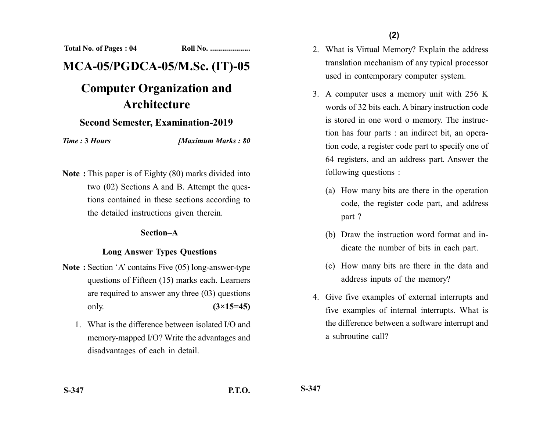**Total No. of Pages : 04 Roll No. ...................** 

## **MCA-05/PGDCA-05/M.Sc. (IT)-05**

# **Computer Organization and Architecture**

## **Second Semester, Examination-2019**

*Time :* **3** *Hours [Maximum Marks : 80*

**Note :** This paper is of Eighty (80) marks divided into two (02) Sections A and B. Attempt the questions contained in these sections according to the detailed instructions given therein.

#### **Section–A**

## **Long Answer Types Questions**

- **Note :** Section 'A' contains Five (05) long-answer-type questions of Fifteen (15) marks each. Learners are required to answer any three (03) questions only. **(3×15=45)**
	- 1. What is the difference between isolated I/O and memory-mapped I/O? Write the advantages and disadvantages of each in detail.
- 2. What is Virtual Memory? Explain the address translation mechanism of any typical processor used in contemporary computer system.
- 3. A computer uses a memory unit with 256 K words of 32 bits each. A binary instruction code is stored in one word o memory. The instruction has four parts : an indirect bit, an operation code, a register code part to specify one of 64 registers, and an address part. Answer the following questions :
	- (a) How many bits are there in the operation code, the register code part, and address part ?
	- (b) Draw the instruction word format and indicate the number of bits in each part.
	- (c) How many bits are there in the data and address inputs of the memory?
- 4. Give five examples of external interrupts and five examples of internal interrupts. What is the difference between a software interrupt and a subroutine call?